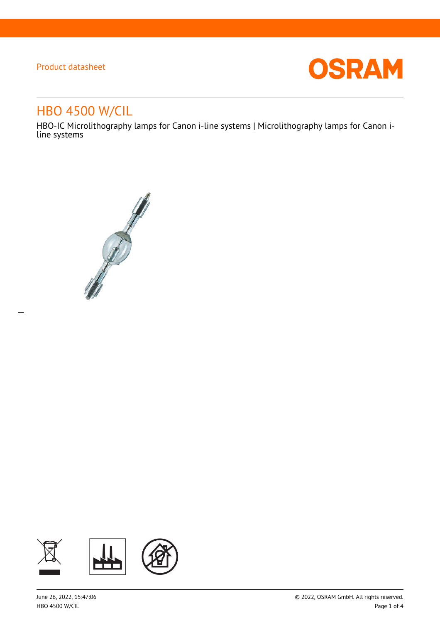$\overline{a}$ 



# HBO 4500 W/CIL

HBO-IC Microlithography lamps for Canon i-line systems | Microlithography lamps for Canon iline systems



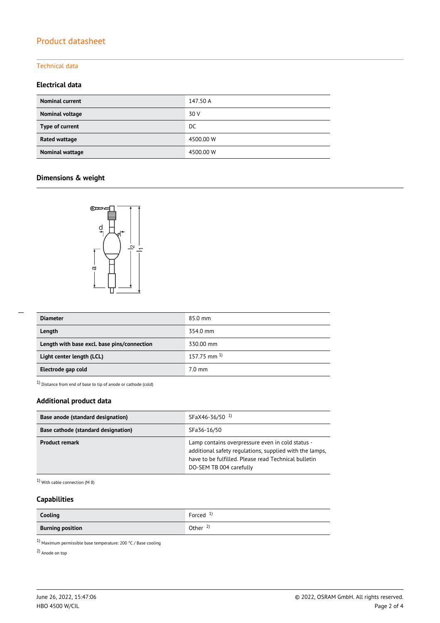#### Technical data

### **Electrical data**

| <b>Nominal current</b> | 147.50 A  |
|------------------------|-----------|
| Nominal voltage        | 30 V      |
| Type of current        | DC        |
| Rated wattage          | 4500.00 W |
| Nominal wattage        | 4500.00 W |

### **Dimensions & weight**



| <b>Diameter</b>                             | 85.0 mm                   |
|---------------------------------------------|---------------------------|
| Length                                      | 354.0 mm                  |
| Length with base excl. base pins/connection | 330.00 mm                 |
| Light center length (LCL)                   | $157.75$ mm <sup>1)</sup> |
| Electrode gap cold                          | 7.0 mm                    |

1) Distance from end of base to tip of anode or cathode (cold)

### **Additional product data**

| Base anode (standard designation)   | SFaX46-36/50 <sup>1</sup>                                                                                                                                                                      |  |  |
|-------------------------------------|------------------------------------------------------------------------------------------------------------------------------------------------------------------------------------------------|--|--|
| Base cathode (standard designation) | SFa36-16/50                                                                                                                                                                                    |  |  |
| <b>Product remark</b>               | Lamp contains overpressure even in cold status -<br>additional safety regulations, supplied with the lamps,<br>have to be fulfilled. Please read Technical bulletin<br>DO-SEM TB 004 carefully |  |  |

1) With cable connection (M 8)

### **Capabilities**

| Cooling                 | Forced $\frac{1}{2}$ |
|-------------------------|----------------------|
| <b>Burning position</b> | Other $\frac{2}{3}$  |

 $^{1)}$  Maximum permissible base temperature: 200 °C / Base cooling

2) Anode on top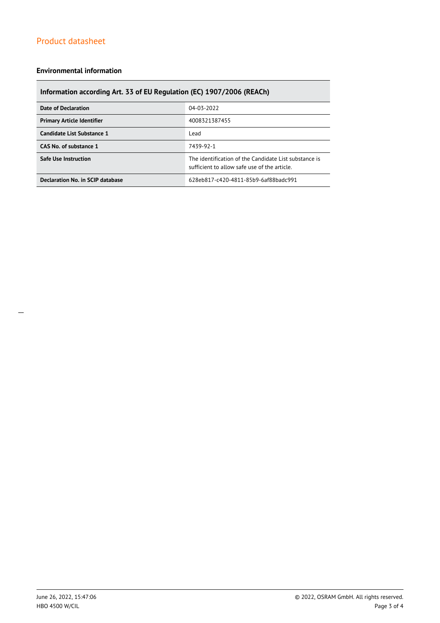#### **Environmental information**

### **Information according Art. 33 of EU Regulation (EC) 1907/2006 (REACh)**

| <b>Date of Declaration</b>        | 04-03-2022                                                                                            |  |  |
|-----------------------------------|-------------------------------------------------------------------------------------------------------|--|--|
| <b>Primary Article Identifier</b> | 4008321387455                                                                                         |  |  |
| Candidate List Substance 1        | Lead                                                                                                  |  |  |
| CAS No. of substance 1            | 7439-92-1                                                                                             |  |  |
| <b>Safe Use Instruction</b>       | The identification of the Candidate List substance is<br>sufficient to allow safe use of the article. |  |  |
| Declaration No. in SCIP database  | 628eb817-c420-4811-85b9-6af88badc991                                                                  |  |  |